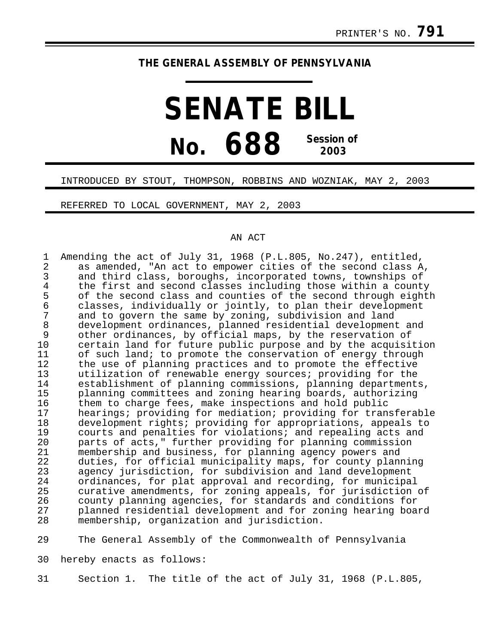## **THE GENERAL ASSEMBLY OF PENNSYLVANIA**

## **SENATE BILL No. 688 Session of 2003**

## INTRODUCED BY STOUT, THOMPSON, ROBBINS AND WOZNIAK, MAY 2, 2003

REFERRED TO LOCAL GOVERNMENT, MAY 2, 2003

## AN ACT

1 Amending the act of July 31, 1968 (P.L.805, No.247), entitled,<br>2 as amended, "An act to empower cities of the second class A 2 as amended, "An act to empower cities of the second class A,<br>3 and third class, boroughs, incorporated towns, townships of 3 and third class, boroughs, incorporated towns, townships of<br>4 the first and second classes including those within a county 4 the first and second classes including those within a county<br>5 of the second class and counties of the second through eightl 5 of the second class and counties of the second through eighth<br>6 classes, individually or jointly, to plan their development 6 classes, individually or jointly, to plan their development<br>7 and to govern the same by zoning, subdivision and land 7 and to govern the same by zoning, subdivision and land 8 development ordinances, planned residential development and<br>9 other ordinances, by official maps, by the reservation of 9 other ordinances, by official maps, by the reservation of<br>10 oertain land for future public purpose and by the acquisi 10 certain land for future public purpose and by the acquisition<br>11 of such land; to promote the conservation of energy through 11 of such land; to promote the conservation of energy through<br>12 the use of planning practices and to promote the effective 12 the use of planning practices and to promote the effective<br>13 thilization of renewable energy sources; providing for the 13 utilization of renewable energy sources; providing for the 14 establishment of planning commissions, planning departments,<br>15 planning committees and zoning hearing boards, authorizing 15 planning committees and zoning hearing boards, authorizing<br>16 them to charge fees, make inspections and hold public 16 them to charge fees, make inspections and hold public<br>17 hearings; providing for mediation; providing for tran 17 hearings; providing for mediation; providing for transferable<br>18 development rights; providing for appropriations, appeals to 18 development rights; providing for appropriations, appeals to<br>19 courts and penalties for violations; and repealing acts and 19 courts and penalties for violations; and repealing acts and<br>20 serts of acts." further providing for planning commission 20 parts of acts," further providing for planning commission<br>21 membership and business, for planning agency powers and 21 membership and business, for planning agency powers and<br>22 duties, for official municipality maps, for county plann 22 duties, for official municipality maps, for county planning<br>23 agency jurisdiction, for subdivision and land development 23 agency jurisdiction, for subdivision and land development<br>24 ordinances, for plat approval and recording, for municipa 24 ordinances, for plat approval and recording, for municipal<br>25 ourative amendments, for zoning appeals, for jurisdiction 25 curative amendments, for zoning appeals, for jurisdiction of 26 county planning agencies, for standards and conditions for<br>27 blanned residential development and for zoning hearing boar 27 planned residential development and for zoning hearing board membership, organization and jurisdiction.

29 The General Assembly of the Commonwealth of Pennsylvania

30 hereby enacts as follows:

31 Section 1. The title of the act of July 31, 1968 (P.L.805,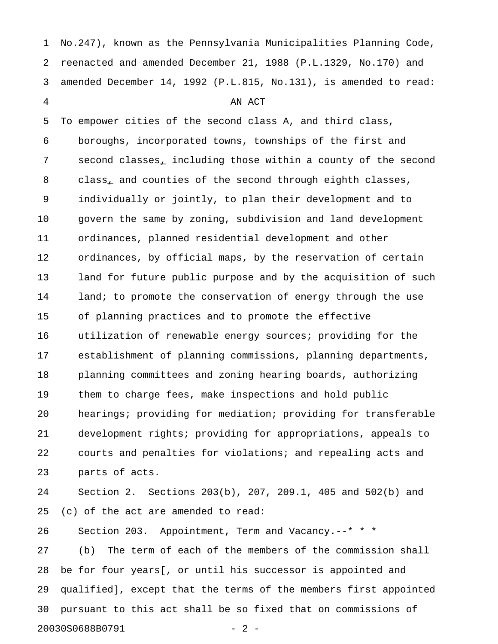1 No.247), known as the Pennsylvania Municipalities Planning Code, 2 reenacted and amended December 21, 1988 (P.L.1329, No.170) and 3 amended December 14, 1992 (P.L.815, No.131), is amended to read: 4 AN ACT 5 To empower cities of the second class A, and third class, 6 boroughs, incorporated towns, townships of the first and 7 second classes, including those within a county of the second 8 class, and counties of the second through eighth classes, 9 individually or jointly, to plan their development and to 10 govern the same by zoning, subdivision and land development 11 ordinances, planned residential development and other 12 ordinances, by official maps, by the reservation of certain 13 land for future public purpose and by the acquisition of such 14 land; to promote the conservation of energy through the use 15 of planning practices and to promote the effective 16 utilization of renewable energy sources; providing for the 17 establishment of planning commissions, planning departments, 18 planning committees and zoning hearing boards, authorizing 19 them to charge fees, make inspections and hold public 20 hearings; providing for mediation; providing for transferable 21 development rights; providing for appropriations, appeals to 22 courts and penalties for violations; and repealing acts and 23 parts of acts. 24 Section 2. Sections 203(b), 207, 209.1, 405 and 502(b) and 25 (c) of the act are amended to read: 26 Section 203. Appointment, Term and Vacancy.--\* \* \* 27 (b) The term of each of the members of the commission shall 28 be for four years[, or until his successor is appointed and

29 qualified], except that the terms of the members first appointed 30 pursuant to this act shall be so fixed that on commissions of 20030S0688B0791 - 2 -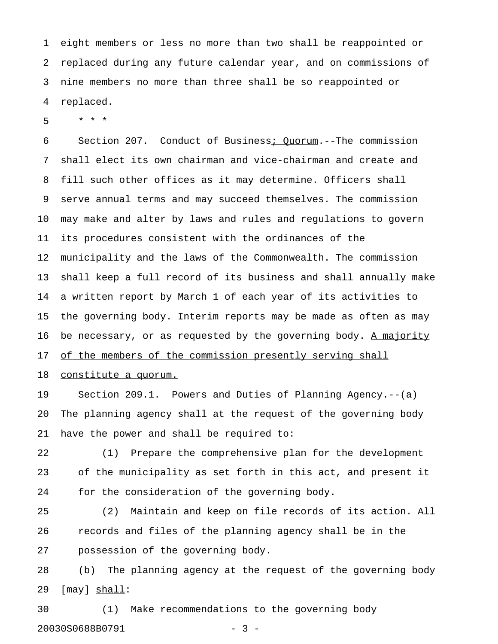1 eight members or less no more than two shall be reappointed or 2 replaced during any future calendar year, and on commissions of 3 nine members no more than three shall be so reappointed or 4 replaced.

5 \* \* \*

6 Section 207. Conduct of Business; Quorum.--The commission 7 shall elect its own chairman and vice-chairman and create and 8 fill such other offices as it may determine. Officers shall 9 serve annual terms and may succeed themselves. The commission 10 may make and alter by laws and rules and regulations to govern 11 its procedures consistent with the ordinances of the 12 municipality and the laws of the Commonwealth. The commission 13 shall keep a full record of its business and shall annually make 14 a written report by March 1 of each year of its activities to 15 the governing body. Interim reports may be made as often as may 16 be necessary, or as requested by the governing body. A majority 17 of the members of the commission presently serving shall

18 constitute a quorum.

19 Section 209.1. Powers and Duties of Planning Agency.--(a) 20 The planning agency shall at the request of the governing body 21 have the power and shall be required to:

22 (1) Prepare the comprehensive plan for the development 23 of the municipality as set forth in this act, and present it 24 for the consideration of the governing body.

25 (2) Maintain and keep on file records of its action. All 26 records and files of the planning agency shall be in the 27 possession of the governing body.

28 (b) The planning agency at the request of the governing body 29 [may] shall: \_\_\_\_\_

30 (1) Make recommendations to the governing body 20030S0688B0791 - 3 -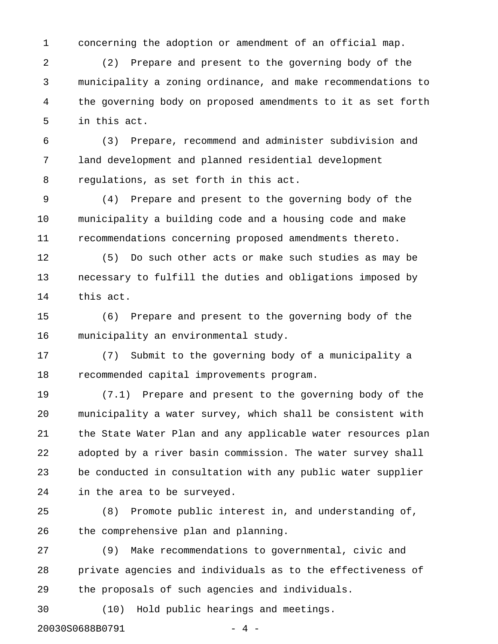1 concerning the adoption or amendment of an official map.

2 (2) Prepare and present to the governing body of the 3 municipality a zoning ordinance, and make recommendations to 4 the governing body on proposed amendments to it as set forth 5 in this act.

6 (3) Prepare, recommend and administer subdivision and 7 land development and planned residential development 8 regulations, as set forth in this act.

9 (4) Prepare and present to the governing body of the 10 municipality a building code and a housing code and make 11 recommendations concerning proposed amendments thereto.

12 (5) Do such other acts or make such studies as may be 13 necessary to fulfill the duties and obligations imposed by 14 this act.

15 (6) Prepare and present to the governing body of the 16 municipality an environmental study.

17 (7) Submit to the governing body of a municipality a 18 recommended capital improvements program.

19 (7.1) Prepare and present to the governing body of the 20 municipality a water survey, which shall be consistent with 21 the State Water Plan and any applicable water resources plan 22 adopted by a river basin commission. The water survey shall 23 be conducted in consultation with any public water supplier 24 in the area to be surveyed.

25 (8) Promote public interest in, and understanding of, 26 the comprehensive plan and planning.

27 (9) Make recommendations to governmental, civic and 28 private agencies and individuals as to the effectiveness of 29 the proposals of such agencies and individuals.

30 (10) Hold public hearings and meetings.

20030S0688B0791 - 4 -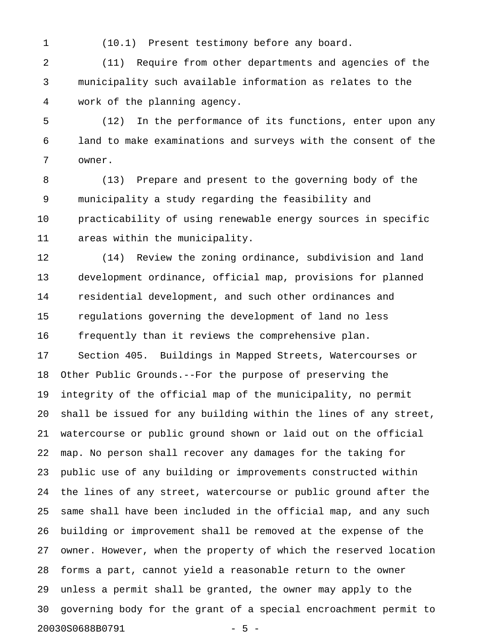1 (10.1) Present testimony before any board.

2 (11) Require from other departments and agencies of the 3 municipality such available information as relates to the 4 work of the planning agency.

5 (12) In the performance of its functions, enter upon any 6 land to make examinations and surveys with the consent of the 7 owner.

8 (13) Prepare and present to the governing body of the 9 municipality a study regarding the feasibility and 10 practicability of using renewable energy sources in specific 11 areas within the municipality.

12 (14) Review the zoning ordinance, subdivision and land 13 development ordinance, official map, provisions for planned 14 residential development, and such other ordinances and 15 regulations governing the development of land no less 16 frequently than it reviews the comprehensive plan. 17 Section 405. Buildings in Mapped Streets, Watercourses or 18 Other Public Grounds.--For the purpose of preserving the 19 integrity of the official map of the municipality, no permit 20 shall be issued for any building within the lines of any street, 21 watercourse or public ground shown or laid out on the official 22 map. No person shall recover any damages for the taking for 23 public use of any building or improvements constructed within 24 the lines of any street, watercourse or public ground after the 25 same shall have been included in the official map, and any such 26 building or improvement shall be removed at the expense of the 27 owner. However, when the property of which the reserved location 28 forms a part, cannot yield a reasonable return to the owner 29 unless a permit shall be granted, the owner may apply to the 30 governing body for the grant of a special encroachment permit to 20030S0688B0791 - 5 -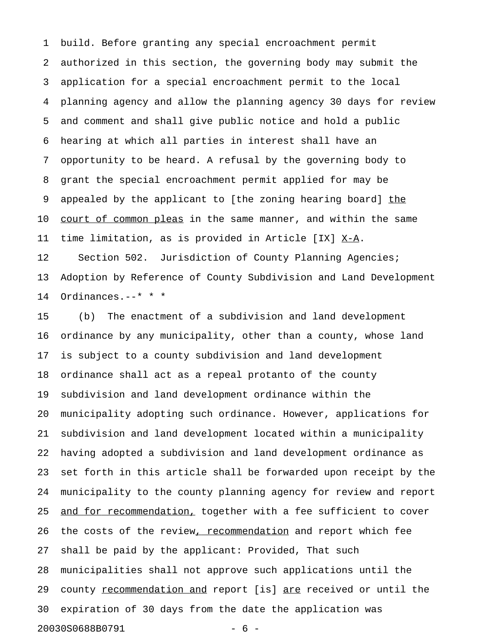1 build. Before granting any special encroachment permit 2 authorized in this section, the governing body may submit the 3 application for a special encroachment permit to the local 4 planning agency and allow the planning agency 30 days for review 5 and comment and shall give public notice and hold a public 6 hearing at which all parties in interest shall have an 7 opportunity to be heard. A refusal by the governing body to 8 grant the special encroachment permit applied for may be 9 appealed by the applicant to [the zoning hearing board] the 10 court of common pleas in the same manner, and within the same 11 time limitation, as is provided in Article [IX]  $X-A$ . 12 Section 502. Jurisdiction of County Planning Agencies; 13 Adoption by Reference of County Subdivision and Land Development 14 Ordinances.--\* \* \*

15 (b) The enactment of a subdivision and land development 16 ordinance by any municipality, other than a county, whose land 17 is subject to a county subdivision and land development 18 ordinance shall act as a repeal protanto of the county 19 subdivision and land development ordinance within the 20 municipality adopting such ordinance. However, applications for 21 subdivision and land development located within a municipality 22 having adopted a subdivision and land development ordinance as 23 set forth in this article shall be forwarded upon receipt by the 24 municipality to the county planning agency for review and report 25 and for recommendation, together with a fee sufficient to cover 26 the costs of the review, recommendation and report which fee 27 shall be paid by the applicant: Provided, That such 28 municipalities shall not approve such applications until the 29 county recommendation and report [is] are received or until the 30 expiration of 30 days from the date the application was 20030S0688B0791 - 6 -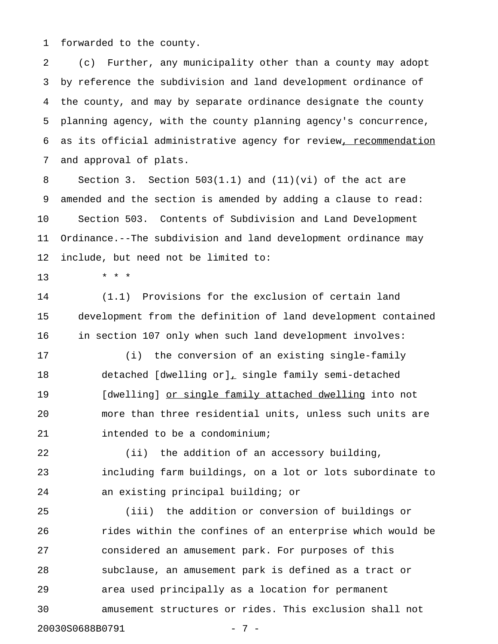1 forwarded to the county.

2 (c) Further, any municipality other than a county may adopt 3 by reference the subdivision and land development ordinance of 4 the county, and may by separate ordinance designate the county 5 planning agency, with the county planning agency's concurrence, 6 as its official administrative agency for review, recommendation 7 and approval of plats.

8 Section 3. Section 503(1.1) and (11)(vi) of the act are 9 amended and the section is amended by adding a clause to read: 10 Section 503. Contents of Subdivision and Land Development 11 Ordinance.--The subdivision and land development ordinance may 12 include, but need not be limited to:

13 \* \* \*

14 (1.1) Provisions for the exclusion of certain land 15 development from the definition of land development contained 16 in section 107 only when such land development involves:

17 (i) the conversion of an existing single-family 18 detached [dwelling or], single family semi-detached 19 [dwelling] or single family attached dwelling into not 20 more than three residential units, unless such units are 21 intended to be a condominium;

22 (ii) the addition of an accessory building, 23 including farm buildings, on a lot or lots subordinate to 24 an existing principal building; or

25 (iii) the addition or conversion of buildings or 26 rides within the confines of an enterprise which would be 27 considered an amusement park. For purposes of this 28 subclause, an amusement park is defined as a tract or 29 area used principally as a location for permanent 30 amusement structures or rides. This exclusion shall not 20030S0688B0791 - 7 -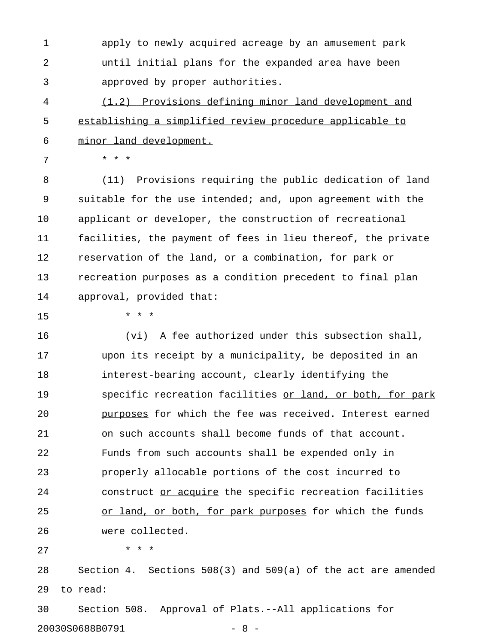1 apply to newly acquired acreage by an amusement park 2 until initial plans for the expanded area have been 3 approved by proper authorities.

4 (1.2) Provisions defining minor land development and 5 establishing a simplified review procedure applicable to 6 minor land development.

7 \* \* \*

8 (11) Provisions requiring the public dedication of land 9 suitable for the use intended; and, upon agreement with the 10 applicant or developer, the construction of recreational 11 facilities, the payment of fees in lieu thereof, the private 12 reservation of the land, or a combination, for park or 13 recreation purposes as a condition precedent to final plan 14 approval, provided that:

15 \* \* \*

16 (vi) A fee authorized under this subsection shall, 17 upon its receipt by a municipality, be deposited in an 18 interest-bearing account, clearly identifying the 19 specific recreation facilities or land, or both, for park 20 **purposes for which the fee was received.** Interest earned 21 on such accounts shall become funds of that account. 22 Funds from such accounts shall be expended only in 23 properly allocable portions of the cost incurred to 24 construct or acquire the specific recreation facilities 25 or land, or both, for park purposes for which the funds 26 were collected.

27 \* \* \*

28 Section 4. Sections 508(3) and 509(a) of the act are amended 29 to read:

30 Section 508. Approval of Plats.--All applications for 20030S0688B0791 - 8 -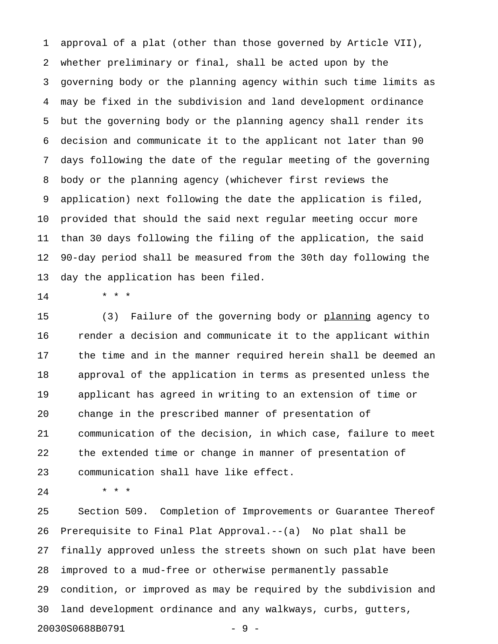1 approval of a plat (other than those governed by Article VII), 2 whether preliminary or final, shall be acted upon by the 3 governing body or the planning agency within such time limits as 4 may be fixed in the subdivision and land development ordinance 5 but the governing body or the planning agency shall render its 6 decision and communicate it to the applicant not later than 90 7 days following the date of the regular meeting of the governing 8 body or the planning agency (whichever first reviews the 9 application) next following the date the application is filed, 10 provided that should the said next regular meeting occur more 11 than 30 days following the filing of the application, the said 12 90-day period shall be measured from the 30th day following the 13 day the application has been filed.

14 \* \* \*

15 (3) Failure of the governing body or planning agency to 16 render a decision and communicate it to the applicant within 17 the time and in the manner required herein shall be deemed an 18 approval of the application in terms as presented unless the 19 applicant has agreed in writing to an extension of time or 20 change in the prescribed manner of presentation of 21 communication of the decision, in which case, failure to meet 22 the extended time or change in manner of presentation of 23 communication shall have like effect.

24 \* \* \*

25 Section 509. Completion of Improvements or Guarantee Thereof 26 Prerequisite to Final Plat Approval.--(a) No plat shall be 27 finally approved unless the streets shown on such plat have been 28 improved to a mud-free or otherwise permanently passable 29 condition, or improved as may be required by the subdivision and 30 land development ordinance and any walkways, curbs, gutters, 20030S0688B0791 - 9 -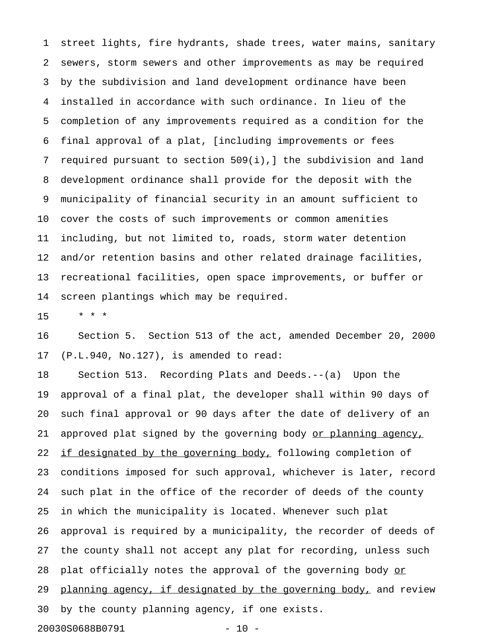1 street lights, fire hydrants, shade trees, water mains, sanitary 2 sewers, storm sewers and other improvements as may be required 3 by the subdivision and land development ordinance have been 4 installed in accordance with such ordinance. In lieu of the 5 completion of any improvements required as a condition for the 6 final approval of a plat, [including improvements or fees 7 required pursuant to section 509(i),] the subdivision and land 8 development ordinance shall provide for the deposit with the 9 municipality of financial security in an amount sufficient to 10 cover the costs of such improvements or common amenities 11 including, but not limited to, roads, storm water detention 12 and/or retention basins and other related drainage facilities, 13 recreational facilities, open space improvements, or buffer or 14 screen plantings which may be required.

15 \* \* \*

16 Section 5. Section 513 of the act, amended December 20, 2000 17 (P.L.940, No.127), is amended to read:

18 Section 513. Recording Plats and Deeds.--(a) Upon the 19 approval of a final plat, the developer shall within 90 days of 20 such final approval or 90 days after the date of delivery of an 21 approved plat signed by the governing body or planning agency, 22 if designated by the governing body, following completion of 23 conditions imposed for such approval, whichever is later, record 24 such plat in the office of the recorder of deeds of the county 25 in which the municipality is located. Whenever such plat 26 approval is required by a municipality, the recorder of deeds of 27 the county shall not accept any plat for recording, unless such 28 plat officially notes the approval of the governing body or 29 planning agency, if designated by the governing body, and review 30 by the county planning agency, if one exists. 20030S0688B0791 - 10 -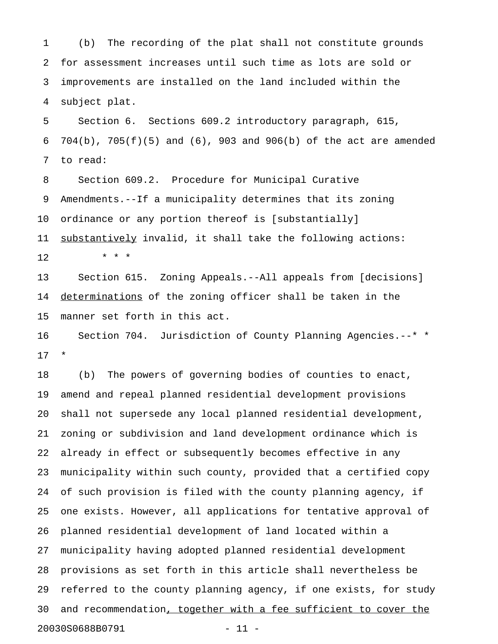1 (b) The recording of the plat shall not constitute grounds 2 for assessment increases until such time as lots are sold or 3 improvements are installed on the land included within the 4 subject plat.

5 Section 6. Sections 609.2 introductory paragraph, 615, 6 704(b), 705(f)(5) and (6), 903 and 906(b) of the act are amended 7 to read:

8 Section 609.2. Procedure for Municipal Curative 9 Amendments.--If a municipality determines that its zoning 10 ordinance or any portion thereof is [substantially] 11 <u>substantively</u> invalid, it shall take the following actions:

12 \* \* \*

13 Section 615. Zoning Appeals.--All appeals from [decisions] 14 determinations of the zoning officer shall be taken in the 15 manner set forth in this act.

16 Section 704. Jurisdiction of County Planning Agencies.--\* \* 17 \*

18 (b) The powers of governing bodies of counties to enact, 19 amend and repeal planned residential development provisions 20 shall not supersede any local planned residential development, 21 zoning or subdivision and land development ordinance which is 22 already in effect or subsequently becomes effective in any 23 municipality within such county, provided that a certified copy 24 of such provision is filed with the county planning agency, if 25 one exists. However, all applications for tentative approval of 26 planned residential development of land located within a 27 municipality having adopted planned residential development 28 provisions as set forth in this article shall nevertheless be 29 referred to the county planning agency, if one exists, for study 30 and recommendation, together with a fee sufficient to cover the 20030S0688B0791 - 11 -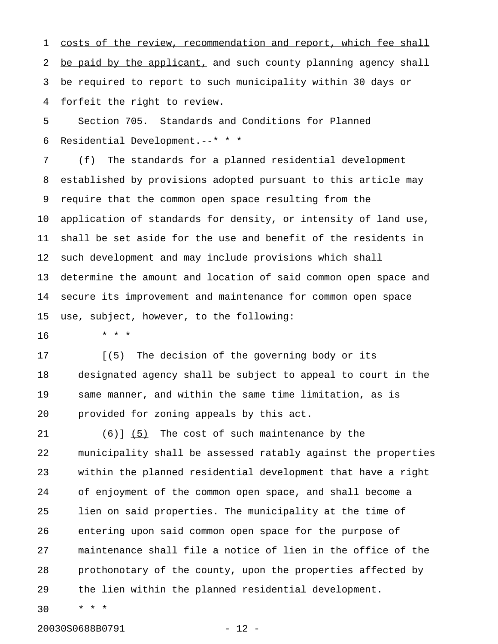1 costs of the review, recommendation and report, which fee shall 2 be paid by the applicant, and such county planning agency shall 3 be required to report to such municipality within 30 days or 4 forfeit the right to review.

5 Section 705. Standards and Conditions for Planned 6 Residential Development.--\* \* \*

7 (f) The standards for a planned residential development 8 established by provisions adopted pursuant to this article may 9 require that the common open space resulting from the 10 application of standards for density, or intensity of land use, 11 shall be set aside for the use and benefit of the residents in 12 such development and may include provisions which shall 13 determine the amount and location of said common open space and 14 secure its improvement and maintenance for common open space 15 use, subject, however, to the following:

16 \* \* \*

17 [(5) The decision of the governing body or its 18 designated agency shall be subject to appeal to court in the 19 same manner, and within the same time limitation, as is 20 provided for zoning appeals by this act.

21 (6)]  $(5)$  The cost of such maintenance by the 22 municipality shall be assessed ratably against the properties 23 within the planned residential development that have a right 24 of enjoyment of the common open space, and shall become a 25 lien on said properties. The municipality at the time of 26 entering upon said common open space for the purpose of 27 maintenance shall file a notice of lien in the office of the 28 prothonotary of the county, upon the properties affected by 29 the lien within the planned residential development.

30 \* \* \*

20030S0688B0791 - 12 -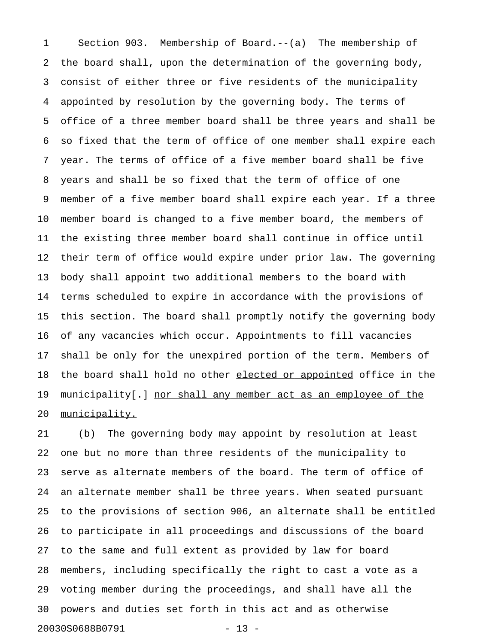1 Section 903. Membership of Board.--(a) The membership of 2 the board shall, upon the determination of the governing body, 3 consist of either three or five residents of the municipality 4 appointed by resolution by the governing body. The terms of 5 office of a three member board shall be three years and shall be 6 so fixed that the term of office of one member shall expire each 7 year. The terms of office of a five member board shall be five 8 years and shall be so fixed that the term of office of one 9 member of a five member board shall expire each year. If a three 10 member board is changed to a five member board, the members of 11 the existing three member board shall continue in office until 12 their term of office would expire under prior law. The governing 13 body shall appoint two additional members to the board with 14 terms scheduled to expire in accordance with the provisions of 15 this section. The board shall promptly notify the governing body 16 of any vacancies which occur. Appointments to fill vacancies 17 shall be only for the unexpired portion of the term. Members of 18 the board shall hold no other elected or appointed office in the 19 municipality[.] nor shall any member act as an employee of the 20 municipality.

21 (b) The governing body may appoint by resolution at least 22 one but no more than three residents of the municipality to 23 serve as alternate members of the board. The term of office of 24 an alternate member shall be three years. When seated pursuant 25 to the provisions of section 906, an alternate shall be entitled 26 to participate in all proceedings and discussions of the board 27 to the same and full extent as provided by law for board 28 members, including specifically the right to cast a vote as a 29 voting member during the proceedings, and shall have all the 30 powers and duties set forth in this act and as otherwise 20030S0688B0791 - 13 -